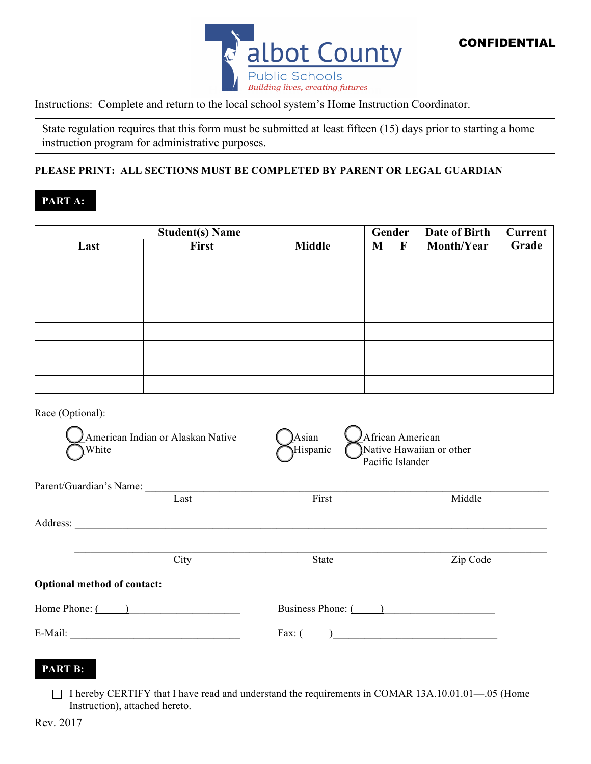

Instructions: Complete and return to the local school system's Home Instruction Coordinator.

State regulation requires that this form must be submitted at least fifteen (15) days prior to starting a home instruction program for administrative purposes.

## **PLEASE PRINT: ALL SECTIONS MUST BE COMPLETED BY PARENT OR LEGAL GUARDIAN**

#### **PART A:**

| <b>Student(s) Name</b> |       |               | Gender |              | Date of Birth | Current |
|------------------------|-------|---------------|--------|--------------|---------------|---------|
| Last                   | First | <b>Middle</b> | M      | $\mathbf{F}$ | Month/Year    | Grade   |
|                        |       |               |        |              |               |         |
|                        |       |               |        |              |               |         |
|                        |       |               |        |              |               |         |
|                        |       |               |        |              |               |         |
|                        |       |               |        |              |               |         |
|                        |       |               |        |              |               |         |
|                        |       |               |        |              |               |         |
|                        |       |               |        |              |               |         |

Race (Optional):

| American Indian or Alaskan Native<br>White |      | Asian<br>Hispanic  | African American<br>Native Hawaiian or other<br>Pacific Islander |          |
|--------------------------------------------|------|--------------------|------------------------------------------------------------------|----------|
| Parent/Guardian's Name:                    |      |                    |                                                                  |          |
|                                            | Last | First              |                                                                  | Middle   |
| Address:                                   |      |                    |                                                                  |          |
|                                            | City | <b>State</b>       |                                                                  | Zip Code |
| <b>Optional method of contact:</b>         |      |                    |                                                                  |          |
| Home Phone: ()                             |      | Business Phone: () |                                                                  |          |
|                                            |      | Fax: $($           |                                                                  |          |

# **PART B:**

□ I hereby CERTIFY that I have read and understand the requirements in COMAR 13A.10.01.01—.05 (Home Instruction), attached hereto.